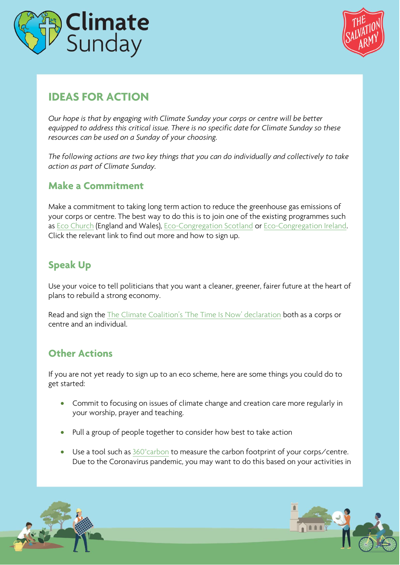



## **IDEAS FOR ACTION**

*Our hope is that by engaging with Climate Sunday your corps or centre will be better equipped to address this critical issue. There is no specific date for Climate Sunday so these resources can be used on a Sunday of your choosing.* 

*The following actions are two key things that you can do individually and collectively to take action as part of Climate Sunday.*

## **Make a Commitment**

Make a commitment to taking long term action to reduce the greenhouse gas emissions of your corps or centre. The best way to do this is to join one of the existing programmes such as [Eco Church](https://ecochurch.arocha.org.uk/) (England and Wales), [Eco-Congregation Scotland](https://www.ecocongregationscotland.org/) or [Eco-Congregation Ireland.](https://www.ecocongregationireland.com/)  Click the relevant link to find out more and how to sign up.

## **Speak Up**

Use your voice to tell politicians that you want a cleaner, greener, fairer future at the heart of plans to rebuild a strong economy.

Read and sign the [The Climate Coalition's 'The Time Is Now' declaration](https://thetimeisnow.uk/declaration?partner=106) both as a corps or centre and an individual.

## **Other Actions**

If you are not yet ready to sign up to an eco scheme, here are some things you could do to get started:

- Commit to focusing on issues of climate change and creation care more regularly in your worship, prayer and teaching.
- Pull a group of people together to consider how best to take action
- Use a tool such as 360° carbon to measure the carbon footprint of your corps/centre. Due to the Coronavirus pandemic, you may want to do this based on your activities in